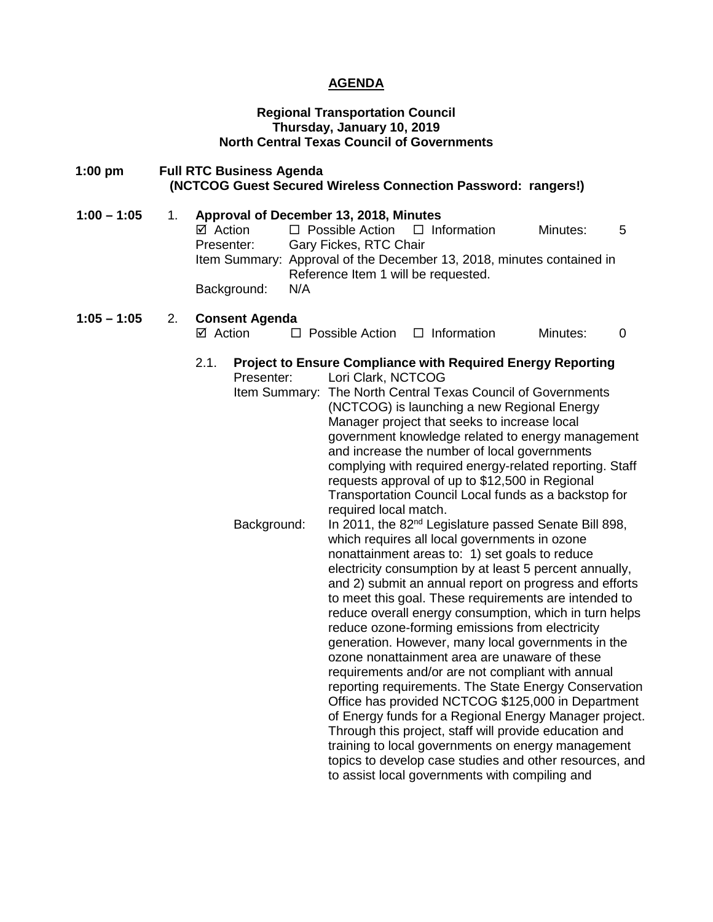# **AGENDA**

#### **Regional Transportation Council Thursday, January 10, 2019 North Central Texas Council of Governments**

### **1:00 pm Full RTC Business Agenda (NCTCOG Guest Secured Wireless Connection Password: rangers!)**

**1:00 – 1:05** 1. **Approval of December 13, 2018, Minutes**  $\boxtimes$  Action  $\Box$  Possible Action  $\Box$  Information Minutes: 5 Presenter: Gary Fickes, RTC Chair Item Summary: Approval of the December 13, 2018, minutes contained in Reference Item 1 will be requested. Background: N/A **1:05 – 1:05** 2. **Consent Agenda**   $\boxtimes$  Action  $\Box$  Possible Action  $\Box$  Information Minutes: 0 2.1. **Project to Ensure Compliance with Required Energy Reporting** Presenter: Lori Clark, NCTCOG Item Summary: The North Central Texas Council of Governments (NCTCOG) is launching a new Regional Energy Manager project that seeks to increase local government knowledge related to energy management and increase the number of local governments complying with required energy-related reporting. Staff requests approval of up to \$12,500 in Regional Transportation Council Local funds as a backstop for required local match. Background: In 2011, the 82<sup>nd</sup> Legislature passed Senate Bill 898, which requires all local governments in ozone nonattainment areas to: 1) set goals to reduce electricity consumption by at least 5 percent annually, and 2) submit an annual report on progress and efforts to meet this goal. These requirements are intended to reduce overall energy consumption, which in turn helps reduce ozone-forming emissions from electricity generation. However, many local governments in the ozone nonattainment area are unaware of these requirements and/or are not compliant with annual

> reporting requirements. The State Energy Conservation Office has provided NCTCOG \$125,000 in Department of Energy funds for a Regional Energy Manager project. Through this project, staff will provide education and training to local governments on energy management topics to develop case studies and other resources, and

to assist local governments with compiling and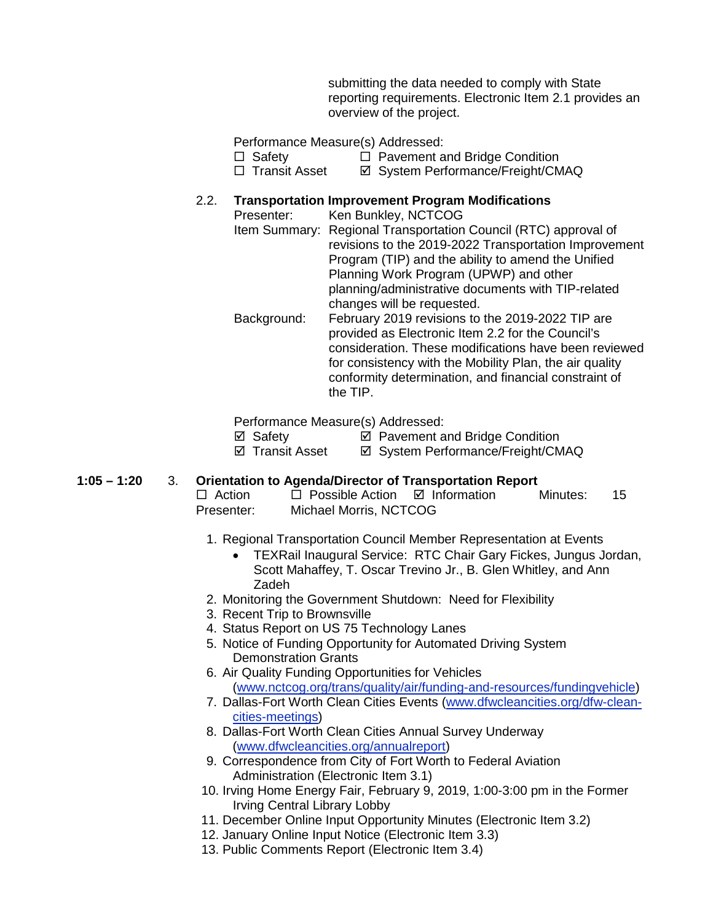submitting the data needed to comply with State reporting requirements. Electronic Item 2.1 provides an overview of the project.

Performance Measure(s) Addressed:

- $\Box$  Safety  $\Box$  Pavement and Bridge Condition
- □ Transit Asset <br>  $\Box$  Transit Asset <br>  $\Box$  System Performance/Freight/CMAQ

# 2.2. **Transportation Improvement Program Modifications**

Presenter: Ken Bunkley, NCTCOG Item Summary: Regional Transportation Council (RTC) approval of revisions to the 2019-2022 Transportation Improvement Program (TIP) and the ability to amend the Unified Planning Work Program (UPWP) and other planning/administrative documents with TIP-related changes will be requested. Background: February 2019 revisions to the 2019-2022 TIP are provided as Electronic Item 2.2 for the Council's consideration. These modifications have been reviewed for consistency with the Mobility Plan, the air quality conformity determination, and financial constraint of the TIP.

Performance Measure(s) Addressed:

**Ø** Safety **Ø** Pavement and Bridge Condition

⊠ Transit Asset **II System Performance/Freight/CMAQ** 

**1:05 – 1:20** 3. **Orientation to Agenda/Director of Transportation Report**

 $\Box$  Action  $\Box$  Possible Action  $\Box$  Information Minutes: 15 Presenter: Michael Morris, NCTCOG

- 1. Regional Transportation Council Member Representation at Events
	- TEXRail Inaugural Service: RTC Chair Gary Fickes, Jungus Jordan, Scott Mahaffey, T. Oscar Trevino Jr., B. Glen Whitley, and Ann Zadeh
- 2. Monitoring the Government Shutdown: Need for Flexibility
- 3. Recent Trip to Brownsville
- 4. Status Report on US 75 Technology Lanes
- 5. Notice of Funding Opportunity for Automated Driving System Demonstration Grants
- 6. Air Quality Funding Opportunities for Vehicles [\(www.nctcog.org/trans/quality/air/funding-and-resources/fundingvehicle\)](http://www.nctcog.org/trans/quality/air/funding-and-resources/fundingvehicle)
- 7. Dallas-Fort Worth Clean Cities Events [\(www.dfwcleancities.org/dfw-clean](http://www.dfwcleancities.org/dfw-clean-cities-meetings)[cities-meetings\)](http://www.dfwcleancities.org/dfw-clean-cities-meetings)
- 8. Dallas-Fort Worth Clean Cities Annual Survey Underway [\(www.dfwcleancities.org/annualreport\)](http://www.dfwcleancities.org/annualreport)
- 9. Correspondence from City of Fort Worth to Federal Aviation Administration (Electronic Item 3.1)
- 10. Irving Home Energy Fair, February 9, 2019, 1:00-3:00 pm in the Former Irving Central Library Lobby
- 11. December Online Input Opportunity Minutes (Electronic Item 3.2)
- 12. January Online Input Notice (Electronic Item 3.3)
- 13. Public Comments Report (Electronic Item 3.4)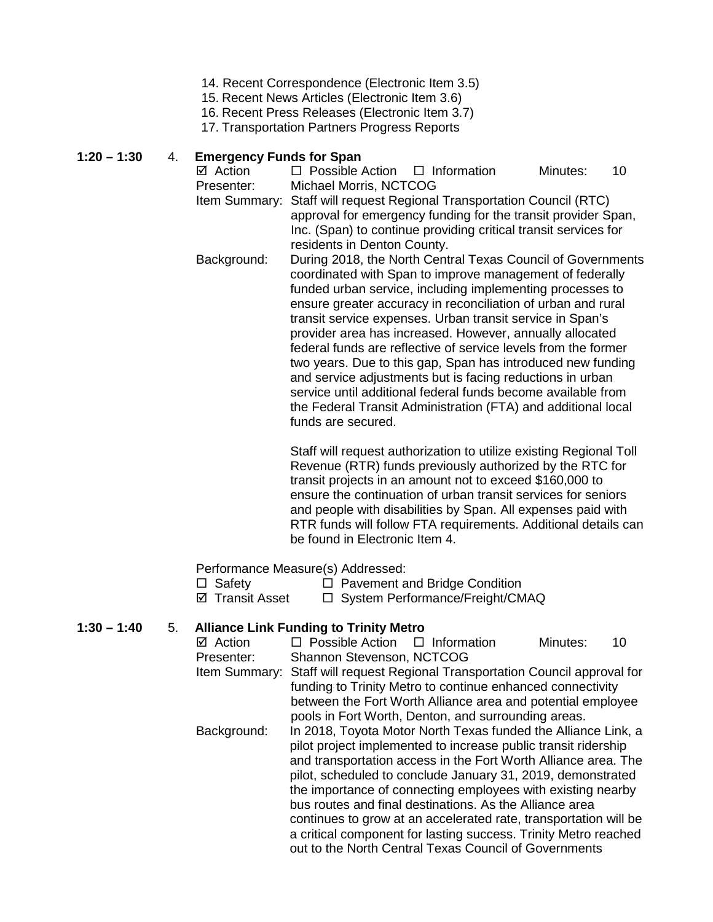- 14. Recent Correspondence (Electronic Item 3.5)
- 15. Recent News Articles (Electronic Item 3.6)
- 16. Recent Press Releases (Electronic Item 3.7)
- 17. Transportation Partners Progress Reports

# **1:20 – 1:30** 4. **Emergency Funds for Span**

- $\Box$  Possible Action  $\Box$  Information Minutes: 10 Presenter: Michael Morris, NCTCOG Item Summary: Staff will request Regional Transportation Council (RTC) approval for emergency funding for the transit provider Span, Inc. (Span) to continue providing critical transit services for
- residents in Denton County. Background: During 2018, the North Central Texas Council of Governments coordinated with Span to improve management of federally funded urban service, including implementing processes to ensure greater accuracy in reconciliation of urban and rural transit service expenses. Urban transit service in Span's provider area has increased. However, annually allocated federal funds are reflective of service levels from the former two years. Due to this gap, Span has introduced new funding and service adjustments but is facing reductions in urban service until additional federal funds become available from the Federal Transit Administration (FTA) and additional local funds are secured.

Staff will request authorization to utilize existing Regional Toll Revenue (RTR) funds previously authorized by the RTC for transit projects in an amount not to exceed \$160,000 to ensure the continuation of urban transit services for seniors and people with disabilities by Span. All expenses paid with RTR funds will follow FTA requirements. Additional details can be found in Electronic Item 4.

Performance Measure(s) Addressed:

Safety Pavement and Bridge Condition

 $\Box$  System Performance/Freight/CMAQ

**1:30 – 1:40** 5. **Alliance Link Funding to Trinity Metro**  $\Box$  Possible Action  $\Box$  Information Minutes: 10 Presenter: Shannon Stevenson, NCTCOG Item Summary: Staff will request Regional Transportation Council approval for funding to Trinity Metro to continue enhanced connectivity between the Fort Worth Alliance area and potential employee pools in Fort Worth, Denton, and surrounding areas. Background: In 2018, Toyota Motor North Texas funded the Alliance Link, a pilot project implemented to increase public transit ridership and transportation access in the Fort Worth Alliance area. The pilot, scheduled to conclude January 31, 2019, demonstrated the importance of connecting employees with existing nearby bus routes and final destinations. As the Alliance area continues to grow at an accelerated rate, transportation will be a critical component for lasting success. Trinity Metro reached out to the North Central Texas Council of Governments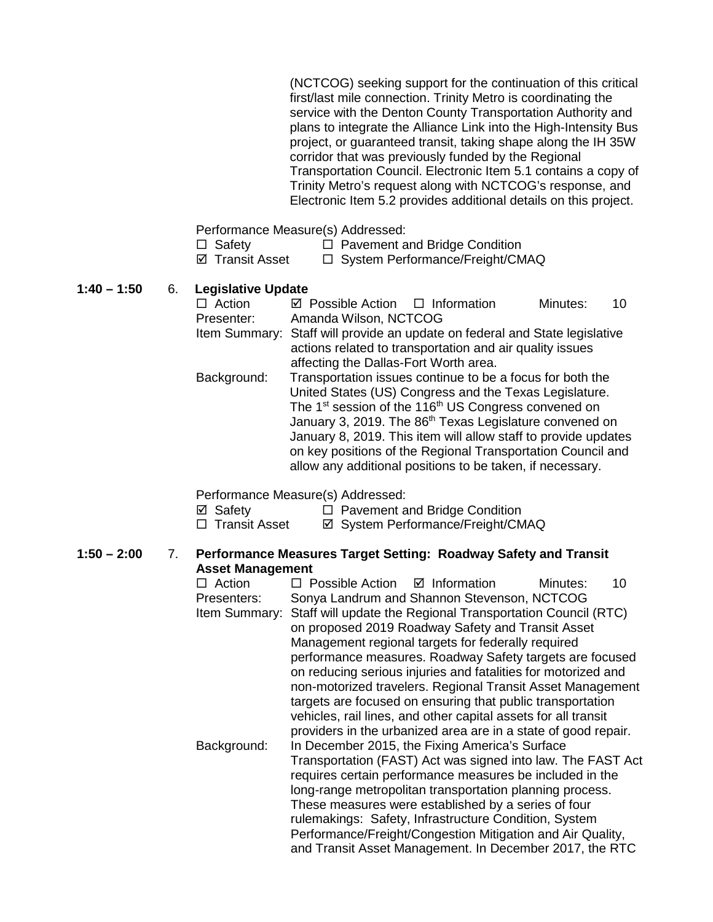(NCTCOG) seeking support for the continuation of this critical first/last mile connection. Trinity Metro is coordinating the service with the Denton County Transportation Authority and plans to integrate the Alliance Link into the High-Intensity Bus project, or guaranteed transit, taking shape along the IH 35W corridor that was previously funded by the Regional Transportation Council. Electronic Item 5.1 contains a copy of Trinity Metro's request along with NCTCOG's response, and Electronic Item 5.2 provides additional details on this project.

Performance Measure(s) Addressed:

- $\Box$  Safety  $\Box$  Pavement and Bridge Condition
- $\boxtimes$  Transit Asset  $\Box$  System Performance/Freight/CMAQ

**1:40 – 1:50** 6. **Legislative Update**

| $\Box$ Action | $\boxtimes$ Possible Action $\Box$ Information                                                                                          |                                                                              | Minutes: | 10 |  |  |  |
|---------------|-----------------------------------------------------------------------------------------------------------------------------------------|------------------------------------------------------------------------------|----------|----|--|--|--|
| Presenter:    | Amanda Wilson, NCTCOG                                                                                                                   |                                                                              |          |    |  |  |  |
|               | Item Summary: Staff will provide an update on federal and State legislative<br>actions related to transportation and air quality issues |                                                                              |          |    |  |  |  |
|               | affecting the Dallas-Fort Worth area.                                                                                                   |                                                                              |          |    |  |  |  |
| Background:   | Transportation issues continue to be a focus for both the                                                                               |                                                                              |          |    |  |  |  |
|               | United States (US) Congress and the Texas Legislature.                                                                                  |                                                                              |          |    |  |  |  |
|               |                                                                                                                                         | The 1 <sup>st</sup> session of the 116 <sup>th</sup> US Congress convened on |          |    |  |  |  |
|               |                                                                                                                                         | January 3, 2019. The 86 <sup>th</sup> Texas Legislature convened on          |          |    |  |  |  |
|               |                                                                                                                                         | January 8, 2019. This item will allow staff to provide updates               |          |    |  |  |  |
|               | on key positions of the Regional Transportation Council and<br>allow any additional positions to be taken, if necessary.                |                                                                              |          |    |  |  |  |
|               |                                                                                                                                         |                                                                              |          |    |  |  |  |

#### Performance Measure(s) Addressed:

 $\boxtimes$  Safety  $\Box$  Pavement and Bridge Condition

□ Transit Asset <br>  $\Box$  Transit Asset <br>  $\Box$  System Performance/Freight/CMAQ

#### **1:50 – 2:00** 7. **Performance Measures Target Setting: Roadway Safety and Transit Asset Management**

 $\Box$  Action  $\Box$  Possible Action  $\Box$  Information Minutes: 10 Presenters: Sonya Landrum and Shannon Stevenson, NCTCOG Item Summary: Staff will update the Regional Transportation Council (RTC) on proposed 2019 Roadway Safety and Transit Asset Management regional targets for federally required performance measures. Roadway Safety targets are focused on reducing serious injuries and fatalities for motorized and non-motorized travelers. Regional Transit Asset Management targets are focused on ensuring that public transportation vehicles, rail lines, and other capital assets for all transit providers in the urbanized area are in a state of good repair. Background: In December 2015, the Fixing America's Surface Transportation (FAST) Act was signed into law. The FAST Act requires certain performance measures be included in the long-range metropolitan transportation planning process. These measures were established by a series of four rulemakings: Safety, Infrastructure Condition, System Performance/Freight/Congestion Mitigation and Air Quality, and Transit Asset Management. In December 2017, the RTC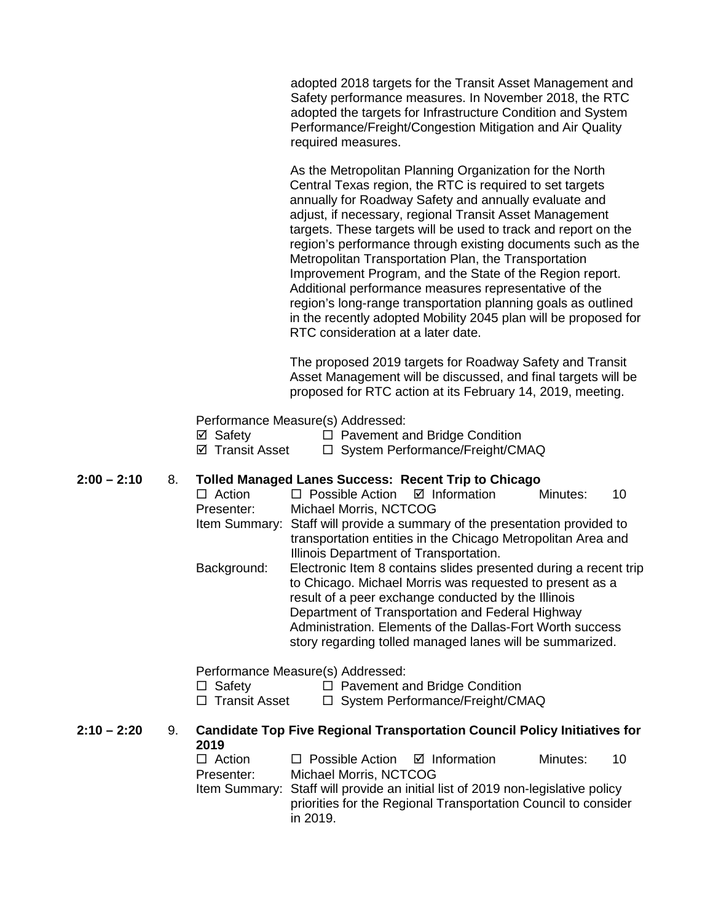adopted 2018 targets for the Transit Asset Management and Safety performance measures. In November 2018, the RTC adopted the targets for Infrastructure Condition and System Performance/Freight/Congestion Mitigation and Air Quality required measures.

As the Metropolitan Planning Organization for the North Central Texas region, the RTC is required to set targets annually for Roadway Safety and annually evaluate and adjust, if necessary, regional Transit Asset Management targets. These targets will be used to track and report on the region's performance through existing documents such as the Metropolitan Transportation Plan, the Transportation Improvement Program, and the State of the Region report. Additional performance measures representative of the region's long-range transportation planning goals as outlined in the recently adopted Mobility 2045 plan will be proposed for RTC consideration at a later date.

The proposed 2019 targets for Roadway Safety and Transit Asset Management will be discussed, and final targets will be proposed for RTC action at its February 14, 2019, meeting.

Performance Measure(s) Addressed:

| ⊠ Safety | $\Box$ Pavement and Bridge Condition |
|----------|--------------------------------------|
|          |                                      |

**Ø Transit Asset □ System Performance/Freight/CMAQ** 

# **2:00 – 2:10** 8. **Tolled Managed Lanes Success: Recent Trip to Chicago**

|               |    | $\Box$ Action<br>Presenter:         | $\Box$ Possible Action $\Box$ Information<br>Michael Morris, NCTCOG                                                                                                                                                                                                                                                                                              |                                                                           | Minutes: | 10 |  |  |
|---------------|----|-------------------------------------|------------------------------------------------------------------------------------------------------------------------------------------------------------------------------------------------------------------------------------------------------------------------------------------------------------------------------------------------------------------|---------------------------------------------------------------------------|----------|----|--|--|
|               |    |                                     | Item Summary: Staff will provide a summary of the presentation provided to<br>transportation entities in the Chicago Metropolitan Area and<br>Illinois Department of Transportation.                                                                                                                                                                             |                                                                           |          |    |  |  |
|               |    | Background:                         | Electronic Item 8 contains slides presented during a recent trip<br>to Chicago. Michael Morris was requested to present as a<br>result of a peer exchange conducted by the Illinois<br>Department of Transportation and Federal Highway<br>Administration. Elements of the Dallas-Fort Worth success<br>story regarding tolled managed lanes will be summarized. |                                                                           |          |    |  |  |
|               |    | $\Box$ Safety<br>Transit Asset<br>ш | Performance Measure(s) Addressed:                                                                                                                                                                                                                                                                                                                                | $\Box$ Pavement and Bridge Condition<br>□ System Performance/Freight/CMAQ |          |    |  |  |
| $2:10 - 2:20$ | 9. | 2019                                | <b>Candidate Top Five Regional Transportation Council Policy Initiatives for</b>                                                                                                                                                                                                                                                                                 |                                                                           |          |    |  |  |
|               |    | $\Box$ Action<br>Presenter:         | $\Box$ Possible Action $\Box$ Information<br>Michael Morris, NCTCOG                                                                                                                                                                                                                                                                                              |                                                                           | Minutes: | 10 |  |  |
|               |    |                                     | Item Summary: Staff will provide an initial list of 2019 non-legislative policy                                                                                                                                                                                                                                                                                  |                                                                           |          |    |  |  |

Item Summary: Staff will provide an initial list of 2019 non-legislative policy priorities for the Regional Transportation Council to consider in 2019.